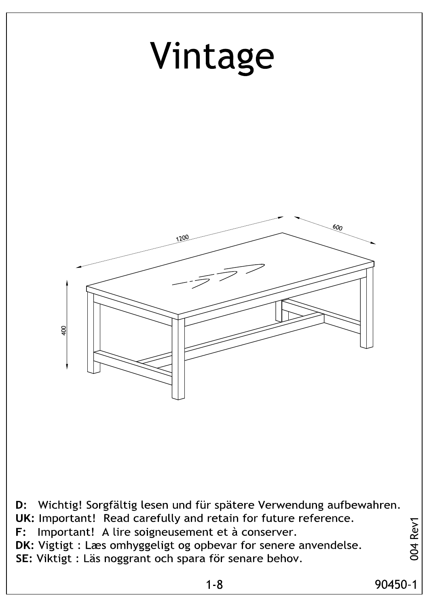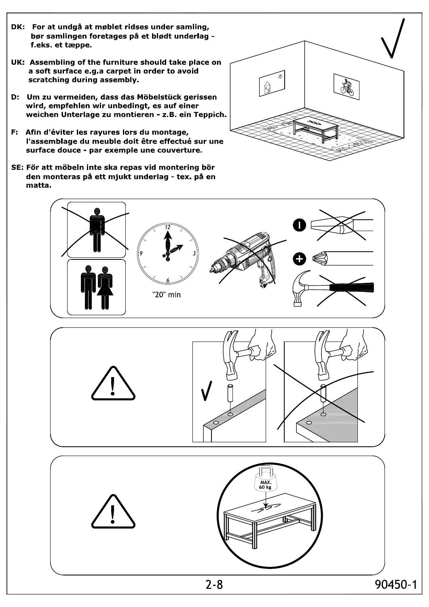- DK: For at undgå at møblet ridses under samling, bør samlingen foretages på et blødt underlag feks et tæppe.
- UK: Assembling of the furniture should take place on a soft surface e.g.a carpet in order to avoid scratching during assembly.
- D: Um zu vermeiden, dass das Möbelstück gerissen wird, empfehlen wir unbedingt, es auf einer weichen Unterlage zu montieren - z.B. ein Teppich.
- F: Afin d'éviter les rayures lors du montage, l'assemblage du meuble doit être effectué sur une surface douce - par exemple une couverture.
- SE: För att möbeln inte ska repas vid montering bör den monteras på ett mjukt underlag - tex. på en matta.





90450-1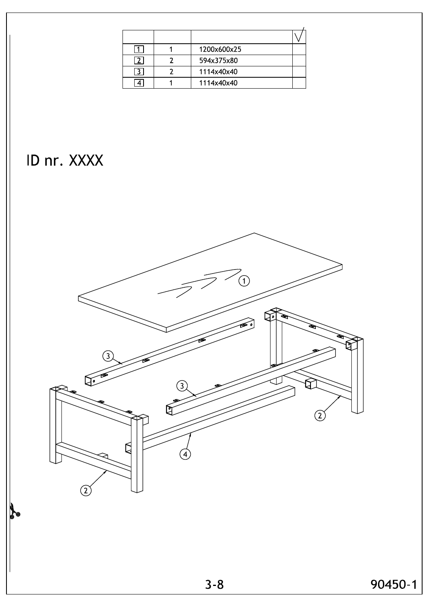|  | 1200x600x25 |  |
|--|-------------|--|
|  | 594x375x80  |  |
|  | 1114x40x40  |  |
|  | 1114x40x40  |  |

# ID nr. XXXX

D

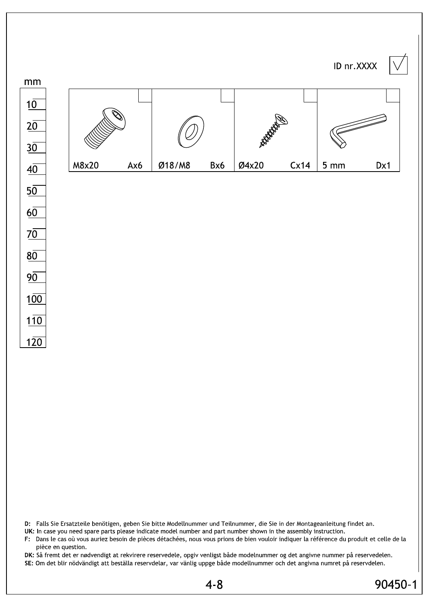



D: Falls Sie Ersatzteile benötigen, geben Sie bitte Modellnummer und Teilnummer, die Sie in der Montageanleitung findet an.

UK: In case you need spare parts please indicate model number and part number shown in the assembly instruction.

F: Dans le cas où vous auriez besoin de pièces détachées, nous vous prions de bien vouloir indiquer la référence du produit et celle de la pièce en question.

DK: Så fremt det er nødvendigt at rekvirere reservedele, opgiv venligst både modelnummer og det angivne nummer på reservedelen. SE: Om det blir nödvändigt att beställa reservdelar, var vänlig uppge både modellnummer och det angivna numret på reservdelen.

90450-1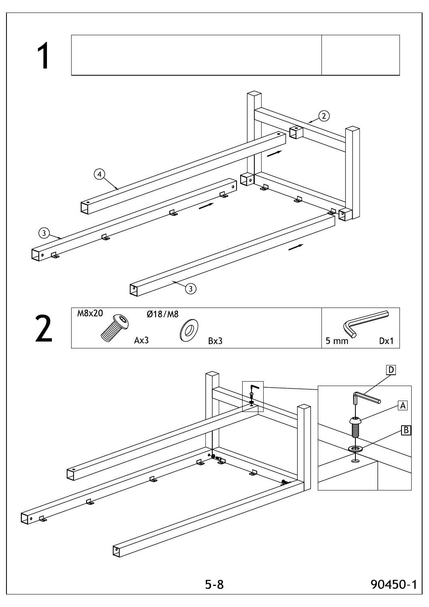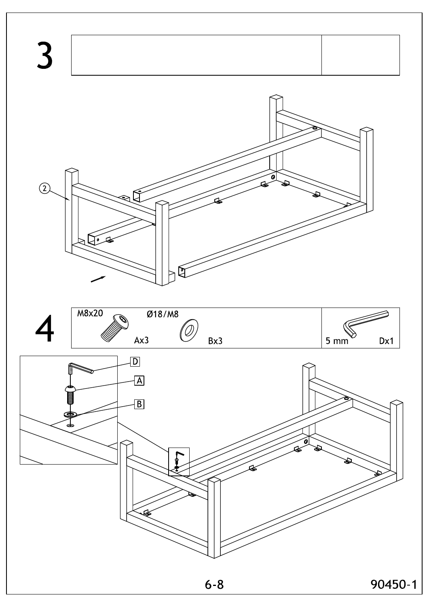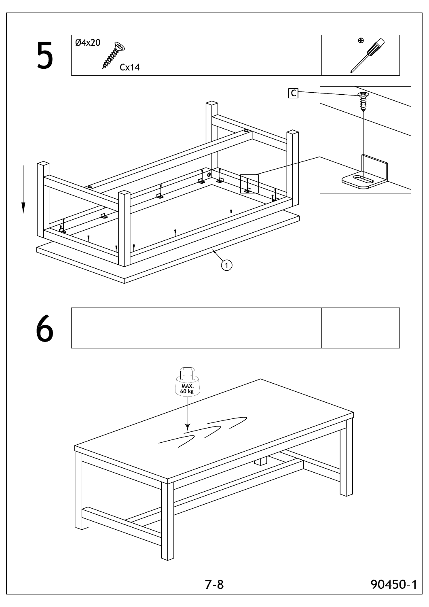